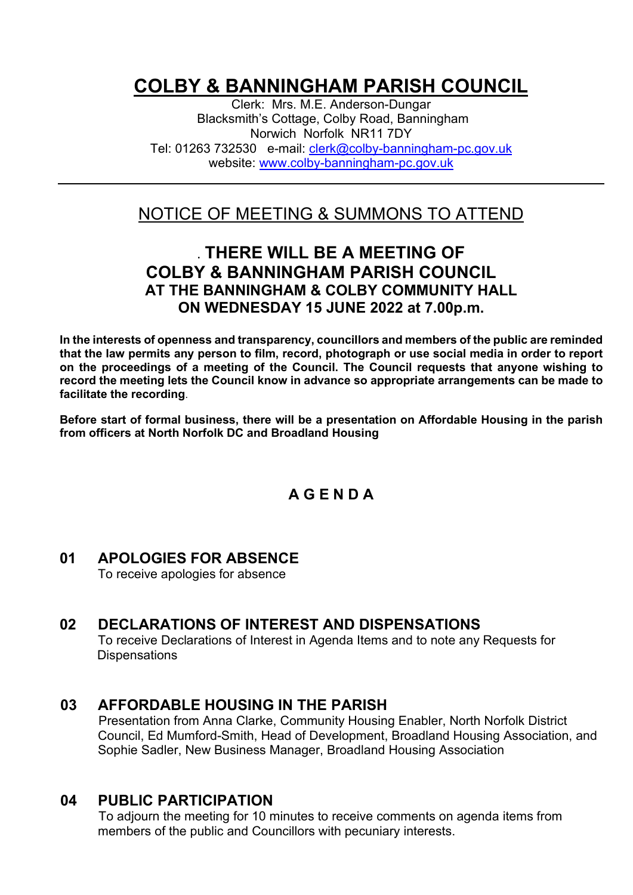# **COLBY & BANNINGHAM PARISH COUNCIL**

Clerk: Mrs. M.E. Anderson-Dungar Blacksmith's Cottage, Colby Road, Banningham Norwich Norfolk NR11 7DY Tel: 01263 732530 e-mail: [clerk@colby-banningham-pc.gov.uk](mailto:clerk@colby-banningham-pc.gov.uk) website: [www.colby-banningham-pc.gov.uk](http://www.colby-banningham-pc.gov.uk/)

## NOTICE OF MEETING & SUMMONS TO ATTEND

### **. THERE WILL BE A MEETING OF COLBY & BANNINGHAM PARISH COUNCIL AT THE BANNINGHAM & COLBY COMMUNITY HALL ON WEDNESDAY 15 JUNE 2022 at 7.00p.m.**

**In the interests of openness and transparency, councillors and members of the public are reminded that the law permits any person to film, record, photograph or use social media in order to report on the proceedings of a meeting of the Council. The Council requests that anyone wishing to record the meeting lets the Council know in advance so appropriate arrangements can be made to facilitate the recording**.

**Before start of formal business, there will be a presentation on Affordable Housing in the parish from officers at North Norfolk DC and Broadland Housing**

#### **A G E N D A**

### **01 APOLOGIES FOR ABSENCE**

To receive apologies for absence

#### **02 DECLARATIONS OF INTEREST AND DISPENSATIONS**

To receive Declarations of Interest in Agenda Items and to note any Requests for **Dispensations** 

#### **03 AFFORDABLE HOUSING IN THE PARISH**

Presentation from Anna Clarke, Community Housing Enabler, North Norfolk District Council, Ed Mumford-Smith, Head of Development, Broadland Housing Association, and Sophie Sadler, New Business Manager, Broadland Housing Association

#### **04 PUBLIC PARTICIPATION**

To adjourn the meeting for 10 minutes to receive comments on agenda items from members of the public and Councillors with pecuniary interests.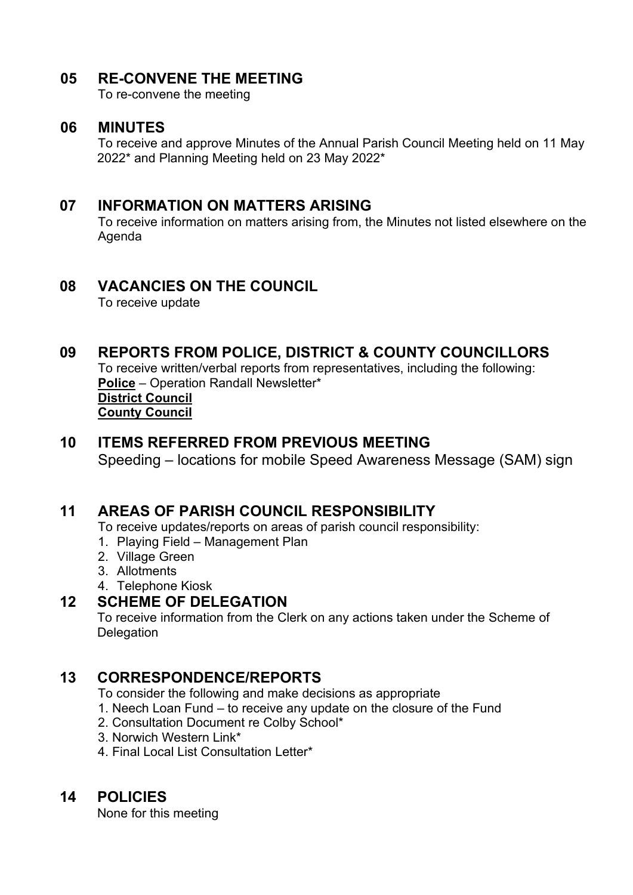#### **05 RE-CONVENE THE MEETING**

To re-convene the meeting

#### **06 MINUTES**

To receive and approve Minutes of the Annual Parish Council Meeting held on 11 May 2022\* and Planning Meeting held on 23 May 2022\*

#### **07 INFORMATION ON MATTERS ARISING**

To receive information on matters arising from, the Minutes not listed elsewhere on the Agenda

#### **08 VACANCIES ON THE COUNCIL**

To receive update

#### **09 REPORTS FROM POLICE, DISTRICT & COUNTY COUNCILLORS**

To receive written/verbal reports from representatives, including the following: **Police** – Operation Randall Newsletter\*

#### **District Council County Council**

#### **10 ITEMS REFERRED FROM PREVIOUS MEETING**

Speeding – locations for mobile Speed Awareness Message (SAM) sign

#### **11 AREAS OF PARISH COUNCIL RESPONSIBILITY**

To receive updates/reports on areas of parish council responsibility:

- 1. Playing Field Management Plan
- 2. Village Green
- 3. Allotments
- 4. Telephone Kiosk

#### **12 SCHEME OF DELEGATION**

To receive information from the Clerk on any actions taken under the Scheme of **Delegation** 

#### **13 CORRESPONDENCE/REPORTS**

To consider the following and make decisions as appropriate

- 1. Neech Loan Fund to receive any update on the closure of the Fund
- 2. Consultation Document re Colby School\*
- 3. Norwich Western Link\*
- 4. Final Local List Consultation Letter\*

#### **14 POLICIES**

None for this meeting